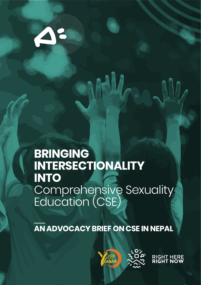

# of}g lzIffdf **BRINGING EXTINTO**  $\frac{1}{2}$  Comprobance **INTERSECTIONALITY** Comprehensive Sexuality Education (CSE)

**AN ADVOCACY BRIEF ON CSE IN NEPAL**



**RIGH<br>RIGH**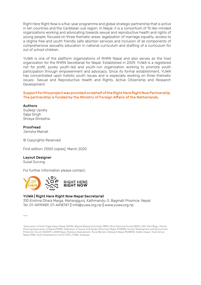Right Here Right Now is a five-year programme and global strategic partnership that is active in ten countries and the Caribbean sub region. In Nepal, it is a consortium of 15 like-minded organizations working and advocating towards sexual and reproductive health and rights of young people; focused on three thematic areas: legalization of marriage equality, access to a stigma free and youth friendly safe abortion services and inclusion of all components of comprehensive sexuality education in national curriculum and drafting of a curriculum for out of school children.

YUWA is one of the platform organizations of RHRN Nepal and also serves as the host organization for the RHRN Secretariat for Nepal. Established in 2009, YUWA is a registered not for profit, purely youth-led and youth-run organization working to promote youth participation through empowerment and advocacy. Since its formal establishment, YUWA has concentrated upon holistic youth issues and is especially working on three thematic issues- Sexual and Reproductive Health and Rights, Active Citizenship and Research Development.

#### Support for this project was provided on behalf of the Right Here Right Now Partnership. The partnership is funded by the Ministry of Foreign Affairs of the Netherlands.

#### Authors

Sudeep Uprety Sajja Singh Shreya Shrestha

### Proofread

Jenisha Mainali

© Copyrights Reserved

First edition: (1000 copies), March 2020

#### Layout Designer

Suzal Gurung

For further information please contact:



#### YUWA | Right Here Right Now Nepal Secretariat

310 Krishna Dhara Marga, Maharajgunj, Kathmandu-3, Bagmati Province, Nepal Tel: 01-4419489, 01-4418747 || info@yuwa.org.np || www.yuwa.org.np

<sup>1</sup> Association of Youth Organization Nepal (AYON), Beyond Beijing Committee (BBC), Blue Diamond Society (BDS), CDS-Park Mugu, Family Planning Association of Nepal (FPAN), Federation of Sexual and Gender Minorities Nepal (FSGMN), Human Development and Environment Protection Forum (HUDEP), LOOM Nepal, Restless Development, Rural Women's Network Nepal (RUWON), Visible Impact, Youth Action Nepal (YAN), Youth Development Centre (YDC), YUWA, Yuwalaya.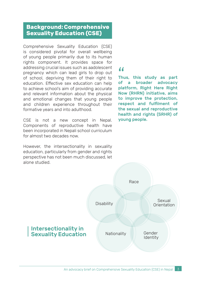# **Background: Comprehensive Sexuality Education (CSE)**

Comprehensive Sexuality Education (CSE) is considered pivotal for overall wellbeing of young people primarily due to its human rights component. It provides space for addressing crucial issues such as aadolescent pregnancy which can lead girls to drop out of school, depriving them of their right to education. Effective sex education can help to achieve school's aim of providing accurate and relevant information about the physical and emotional changes that young people and children experience throughout their formative years and into adulthood.

CSE is not a new concept in Nepal. Components of reproductive health have been incorporated in Nepali school curriculum for almost two decades now.

However, the intersectionality in sexuality education, particularly from gender and rights perspective has not been much discussed, let alone studied.

## $\boldsymbol{\mu}$

Thus, this study as part of a broader advocacy platform, Right Here Right Now (RHRN) initiative, aims to improve the protection, respect and fulfilment of the sexual and reproductive health and rights (SRHR) of young people.

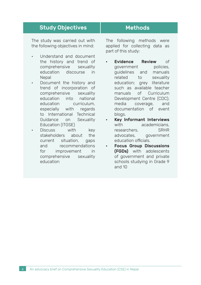| <b>Study Objectives</b>                                                                                                                                            | <b>Methods</b>                                                                                                                                                              |
|--------------------------------------------------------------------------------------------------------------------------------------------------------------------|-----------------------------------------------------------------------------------------------------------------------------------------------------------------------------|
| The study was carried out with<br>the following objectives in mind:<br>Understand and document<br>$\bullet$                                                        | The following methods were<br>applied for collecting data as<br>part of this study:                                                                                         |
| the history and trend of<br>comprehensive sexuality<br>education discourse<br>in in<br>Nepal<br>Document the history and<br>$\bullet$<br>trend of incorporation of | Evidence Review<br>of<br>٠<br>policies,<br>government<br>guidelines and<br>manuals<br>related<br>to<br>sexuality<br>education; grey literature<br>such as available teacher |
| comprehensive sexuality<br>education into national<br>education<br>curriculum.<br>especially with regards<br>to International Technical                            | manuals of Curriculum<br>Development Centre (CDC);<br>media coverage,<br>and<br>documentation of event<br>blogs.                                                            |
| Guidance on<br>Sexuality<br>Education (ITGSE)                                                                                                                      | Key Informant Interviews<br>٠<br>with academicians,                                                                                                                         |
| Discuss with<br>key                                                                                                                                                | researchers,<br><b>SRHR</b>                                                                                                                                                 |
| stakeholders about<br>the<br>current situation,<br>gaps<br>and recommendations                                                                                     | advocates, government<br>education officials.<br><b>Focus Group Discussions</b>                                                                                             |
| for improvement<br>in                                                                                                                                              | (FGDs) with adolescents                                                                                                                                                     |
| comprehensive sexuality                                                                                                                                            | of government and private                                                                                                                                                   |

schools studying in Grade 9

and 10

education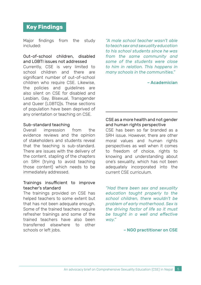# **Key Findings**

Major findings from the study included:

#### Out-of-school children, disabled and LGBTI issues not addressed

Currently, CSE is very limited to school children and there are significant number of out-of-school children who require CSE. Likewise, the policies and guidelines are also silent on CSE for disabled and Lesbian, Gay, Bisexual, Transgender and Queer (LGBTQ)s. These sections of population have been deprived of any orientation or teaching on CSE.

# Sub-standard teaching<br>
Overall impression

impression from the evidence reviews and the opinion of stakeholders and students reveal that the teaching is sub-standard. There are issues with the delivery of the content, stapling of the chapters on SRH (trying to avoid teaching those content) which needs to be immediately addressed.

### Trainings insufficient to improve teacher's standard

The trainings provided on CSE has helped teachers to some extent but that has not been adequate enough. Some of the trained teachers require refresher trainings and some of the trained teachers have also been transferred elsewhere to other schools or left jobs.

*"A male school teacher wasn't able to teach sex and sexuality education to his school students since he was from the same community and some of the students were close to him in relation. This happens in many schools in the communities."* 

– Academician

### CSE as a more health and not gender and human rights perspective

CSE has been so far branded as a SRH issue. However, there are other moral values and human rights perspectives as well when it comes to freedom of choice, rights to knowing and understanding about one's sexuality, which has not been adequately incorporated into the current CSE curriculum.

*"Had there been sex and sexuality education taught properly to the school children, there wouldn't be problem of early motherhood. Sex is the driving factor of life so it must be taught in a well and effective way."*

#### – NGO practitioner on CSE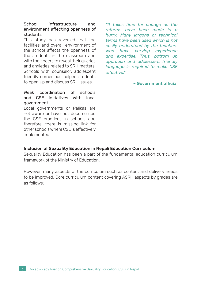#### School infrastructure and environment affecting openness of students

This study has revealed that the facilities and overall environment of the school affects the openness of the students in the classroom and with their peers to reveal their queries and anxieties related to SRH matters. Schools with counselor, adolescent friendly corner has helped students to open up and discuss SRH issues.

Weak coordination of schools and CSE initiatives with local government

Local governments or Palikas are not aware or have not documented the CSE practices in schools and therefore, there is missing link for other schools where CSE is effectively implemented.

*"It takes time for change as the reforms have been made in a hurry. Many jargons or technical terms have been used which is not easily understood by the teachers who have varying experience and expertise. Thus, bottom up approach and adolescent friendly language is required to make CSE effective."* 

– Government official

### Inclusion of Sexuality Education in Nepali Education Curriculum

Sexuality Education has been a part of the fundamental education curriculum framework of the Ministry of Education.

However, many aspects of the curriculum such as content and delivery needs to be improved. Core curriculum content covering ASRH aspects by grades are as follows: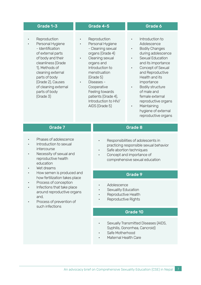- Reproduction
- Personal Hygiene - Identification of external parts of body and their cleanliness (Grade 1), Methods of cleaning external parts of body (Grade 2), Causes of cleaning external parts of body (Grade 3)

#### Grade 1-3 Grade 4-5 Grade 6

- Reproduction
	- Personal Hygiene - Cleaning sexual organs (Grade 4)
- Cleaning sexual organs and Introduction to menstruation (Grade 5)
	- Diseases Cooperative Feeling towards patients (Grade 4), Introduction to HIV/ AIDS (Grade 5)

- Introduction to Adolescence
- **Bodily Changes** during adolescence
- Sexual Education and its importance
- Concept of Sexual and Reproductive Health and its importance
- Bodily structure of male and female external
- reproductive organs • Maintaining
	- hygiene of external reproductive organs

- Phases of adolescence
- Introduction to sexual intercourse
- Necessity of sexual and reproductive health education
- Wet dreams
- How semen is produced and how fertilization takes place
- Process of conception
- Infections that take place around reproductive organs and,
- Process of prevention of such infections

### Grade 7 Grade 8

- Responsibilities of adolescents in practicing responsible sexual behavior
- Safe abortion techniques
- Concept and importance of comprehensive sexual education

### Grade 9

- Adolescence
- Sexuality Education
- Reproductive Health
- Reproductive Rights

#### Grade 10

- Sexually Transmitted Diseases (AIDS, Syphilis, Gonorrhea, Cancroid)
- Safe Motherhood
- Maternal Health Care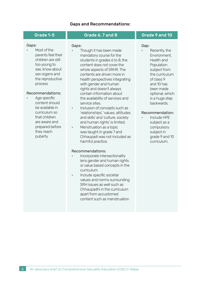#### Gaps and Recommendations:

#### Gaps: • Most of the parents feel their children are still too young to see, know about sex organs and the reproductive process Recommendations: Age specific content should be available in curriculum so that children are aware and prepared before they reach puberty Grade 1-5 Grade 6, 7 and 8 Grade 9 and 10 Gaps: Though it has been made mandatory course for the students in grades 6 to 8, the content does not cover the whole aspects of SRHR. The contents are driven more in health perspectives integrating with gender and human rights and doesn't always contain information about the availability of services and service sites. Inclusion of concepts such as 'relationships', 'values, attitudes and skills' and 'culture, society and human rights' is limited. • Menstruation as a topic was taught in grade 7 and Chhaupadi was not included as harmful practice. Recommendations: • Incorporate intersectionality lens gender and human rights or value based concepts in the curriculum • Include specific societal values and norms surrounding SRH issues as well such as Chhaupadhi in the curriculum apart from accustomed Gap: Recently, the Environment, Health and Population subject from the curriculum of class 9 and 10 has been made optional, which is a huge step backwards. Recommendation: • Include HPE subject as a compulsory subject in grade 9 and 10 curriculum.

content such as menstruation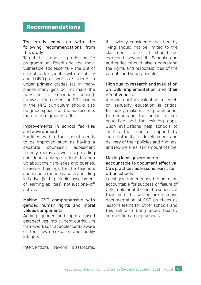# **Recommendations**

#### The study came up with the following recommendations from this study:

Targeted and grade-specific programming: Prioritizing the most vulnerable adolescents – the out of school, adolescents with disability and LGBTQ, as well as students in upper primary grades (as in many places many girls do not make the transition to secondary school). Likewise, the content on SRH issues in the HPE curriculum should also be grade specific as the adolescents mature from grade 6 to 10.

#### Improvements in school facilities and environment

Facilities within the school needs to be improved such as having a separate counselor, adolescent friendly rooms as well as providing confidence among students to open up about their anxieties and queries. Likewise, trainings for the teachers should be a routine capacity building initiative (with periodic assessment of learning abilities), not just one-off activity.

#### Making CSE comprehensive with gender, human rights and moral values components

Adding gender and rights based perspectives into current curriculum framework so that adolescents aware of their own sexuality and bodily integrity.

It is widely considered that healthy living should not be limited to the classroom; rather it should be extended beyond it. Schools and authorities should also understand the rights and responsibilities of the parents and young people.

#### High quality research and evaluation on CSE implementation and their effectiveness

A good quality evaluation research on sexuality education is critical for policy makers and practitioners to understand the needs of sex education and the existing gaps. Such evaluations help schools to identify the need of support by local authority in development and delivery of their policies and findings, and require a realistic amount of time.

#### Making local governments accountable to document effective CSE practices as lessons learnt for other schools

Local governments need to be made accountable for success or failure of CSE implementation in the schools of their area. This will ensure effective documentation of CSE practices as lessons learnt for other schools and this will also bring about healthy competition among schools.

Interventions beyond classrooms: